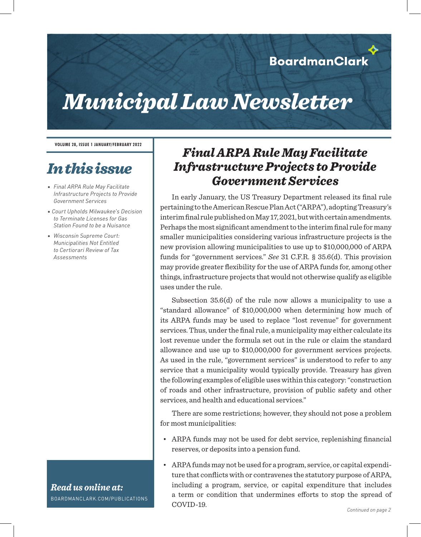# *Municipal Law Newsletter*

**VOLUME 28, ISSUE 1 JANUARY/FEBRUARY 2022**

## *In this issue*

- *• Final ARPA Rule May Facilitate Infrastructure Projects to Provide Government Services*
- *Court Upholds Milwaukee's Decision to Terminate Licenses for Gas Station Found to be a Nuisance*
- *• Wisconsin Supreme Court: Municipalities Not Entitled to Certiorari Review of Tax Assessments*

#### *Read us online at:* BOARDMANCLARK.COM/PUBLICATIONS

## *Final ARPA Rule May Facilitate Infrastructure Projects to Provide Government Services*

In early January, the US Treasury Department released its final rule pertaining to the American Rescue Plan Act ("ARPA"), adopting Treasury's interim final rule published on May 17, 2021, but with certain amendments. Perhaps the most significant amendment to the interim final rule for many smaller municipalities considering various infrastructure projects is the new provision allowing municipalities to use up to \$10,000,000 of ARPA funds for "government services." *See* 31 C.F.R. § 35.6(d). This provision may provide greater flexibility for the use of ARPA funds for, among other things, infrastructure projects that would not otherwise qualify as eligible uses under the rule.

Subsection 35.6(d) of the rule now allows a municipality to use a "standard allowance" of \$10,000,000 when determining how much of its ARPA funds may be used to replace "lost revenue" for government services. Thus, under the final rule, a municipality may either calculate its lost revenue under the formula set out in the rule or claim the standard allowance and use up to \$10,000,000 for government services projects. As used in the rule, "government services" is understood to refer to any service that a municipality would typically provide. Treasury has given the following examples of eligible uses within this category: "construction of roads and other infrastructure, provision of public safety and other services, and health and educational services."

There are some restrictions; however, they should not pose a problem for most municipalities:

- ARPA funds may not be used for debt service, replenishing financial reserves, or deposits into a pension fund.
- ARPA funds may not be used for a program, service, or capital expenditure that conflicts with or contravenes the statutory purpose of ARPA, including a program, service, or capital expenditure that includes a term or condition that undermines efforts to stop the spread of COVID-19.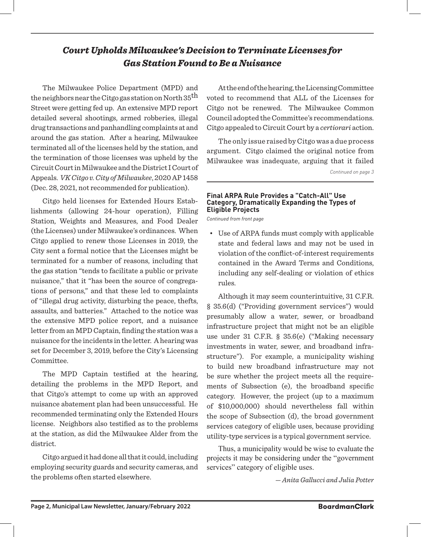### *Court Upholds Milwaukee's Decision to Terminate Licenses for Gas Station Found to Be a Nuisance*

The Milwaukee Police Department (MPD) and the neighbors near the Citgo gas station on North  $35^{\text{th}}$ Street were getting fed up. An extensive MPD report detailed several shootings, armed robberies, illegal drug transactions and panhandling complaints at and around the gas station. After a hearing, Milwaukee terminated all of the licenses held by the station, and the termination of those licenses was upheld by the Circuit Court in Milwaukee and the District I Court of Appeals. *VK Citgo v. City of Milwaukee*, 2020 AP 1458 (Dec. 28, 2021, not recommended for publication).

Citgo held licenses for Extended Hours Establishments (allowing 24-hour operation), Filling Station, Weights and Measures, and Food Dealer (the Licenses) under Milwaukee's ordinances. When Citgo applied to renew those Licenses in 2019, the City sent a formal notice that the Licenses might be terminated for a number of reasons, including that the gas station "tends to facilitate a public or private nuisance," that it "has been the source of congregations of persons," and that these led to complaints of "illegal drug activity, disturbing the peace, thefts, assaults, and batteries." Attached to the notice was the extensive MPD police report, and a nuisance letter from an MPD Captain, finding the station was a nuisance for the incidents in the letter. A hearing was set for December 3, 2019, before the City's Licensing Committee.

The MPD Captain testified at the hearing, detailing the problems in the MPD Report, and that Citgo's attempt to come up with an approved nuisance abatement plan had been unsuccessful. He recommended terminating only the Extended Hours license. Neighbors also testified as to the problems at the station, as did the Milwaukee Alder from the district.

Citgo argued it had done all that it could, including employing security guards and security cameras, and the problems often started elsewhere.

At the end of the hearing, the Licensing Committee voted to recommend that ALL of the Licenses for Citgo not be renewed. The Milwaukee Common Council adopted the Committee's recommendations. Citgo appealed to Circuit Court by a *certiorari* action.

The only issue raised by Citgo was a due process argument. Citgo claimed the original notice from Milwaukee was inadequate, arguing that it failed

*Continued on page 3*

#### **Final ARPA Rule Provides a "Catch-All" Use Category, Dramatically Expanding the Types of Eligible Projects**

*Continued from front page*

• Use of ARPA funds must comply with applicable state and federal laws and may not be used in violation of the conflict-of-interest requirements contained in the Award Terms and Conditions, including any self-dealing or violation of ethics rules.

Although it may seem counterintuitive, 31 C.F.R. § 35.6(d) ("Providing government services") would presumably allow a water, sewer, or broadband infrastructure project that might not be an eligible use under 31 C.F.R. § 35.6(e) ("Making necessary investments in water, sewer, and broadband infrastructure"). For example, a municipality wishing to build new broadband infrastructure may not be sure whether the project meets all the requirements of Subsection (e), the broadband specific category. However, the project (up to a maximum of \$10,000,000) should nevertheless fall within the scope of Subsection (d), the broad government services category of eligible uses, because providing utility-type services is a typical government service.

Thus, a municipality would be wise to evaluate the projects it may be considering under the "government services" category of eligible uses.

— *Anita Gallucci and Julia Potter*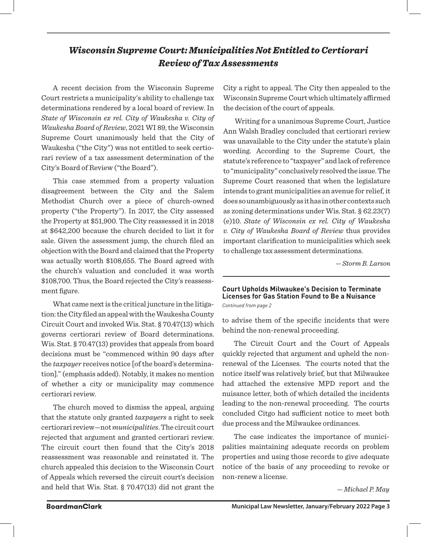### *Wisconsin Supreme Court: Municipalities Not Entitled to Certiorari Review of Tax Assessments*

A recent decision from the Wisconsin Supreme Court restricts a municipality's ability to challenge tax determinations rendered by a local board of review. In *State of Wisconsin ex rel. City of Waukesha v. City of Waukesha Board of Review*, 2021 WI 89, the Wisconsin Supreme Court unanimously held that the City of Waukesha ("the City") was not entitled to seek certiorari review of a tax assessment determination of the City's Board of Review ("the Board").

This case stemmed from a property valuation disagreement between the City and the Salem Methodist Church over a piece of church-owned property ("the Property"). In 2017, the City assessed the Property at \$51,900. The City reassessed it in 2018 at \$642,200 because the church decided to list it for sale. Given the assessment jump, the church filed an objection with the Board and claimed that the Property was actually worth \$108,655. The Board agreed with the church's valuation and concluded it was worth \$108,700. Thus, the Board rejected the City's reassessment figure.

What came next is the critical juncture in the litigation: the City filed an appeal with the Waukesha County Circuit Court and invoked Wis. Stat. § 70.47(13) which governs certiorari review of Board determinations. Wis. Stat. § 70.47(13) provides that appeals from board decisions must be "commenced within 90 days after the *taxpayer* receives notice [of the board's determination]." (emphasis added). Notably, it makes no mention of whether a city or municipality may commence certiorari review.

The church moved to dismiss the appeal, arguing that the statute only granted *taxpayers* a right to seek certiorari review—not *municipalities*. The circuit court rejected that argument and granted certiorari review. The circuit court then found that the City's 2018 reassessment was reasonable and reinstated it. The church appealed this decision to the Wisconsin Court of Appeals which reversed the circuit court's decision and held that Wis. Stat. § 70.47(13) did not grant the City a right to appeal. The City then appealed to the Wisconsin Supreme Court which ultimately affirmed the decision of the court of appeals.

Writing for a unanimous Supreme Court, Justice Ann Walsh Bradley concluded that certiorari review was unavailable to the City under the statute's plain wording. According to the Supreme Court, the statute's reference to "taxpayer" and lack of reference to "municipality" conclusively resolved the issue. The Supreme Court reasoned that when the legislature intends to grant municipalities an avenue for relief, it does so unambiguously as it has in other contexts such as zoning determinations under Wis. Stat. § 62.23(7) (e)10. *State of Wisconsin ex rel. City of Waukesha v. City of Waukesha Board of Review* thus provides important clarification to municipalities which seek to challenge tax assessment determinations.

— *Storm B. Larson*

#### **Court Upholds Milwaukee's Decision to Terminate Licenses for Gas Station Found to Be a Nuisance** *Continued from page 2*

to advise them of the specific incidents that were behind the non-renewal proceeding.

The Circuit Court and the Court of Appeals quickly rejected that argument and upheld the nonrenewal of the Licenses. The courts noted that the notice itself was relatively brief, but that Milwaukee had attached the extensive MPD report and the nuisance letter, both of which detailed the incidents leading to the non-renewal proceeding. The courts concluded Citgo had sufficient notice to meet both due process and the Milwaukee ordinances.

The case indicates the importance of municipalities maintaining adequate records on problem properties and using those records to give adequate notice of the basis of any proceeding to revoke or non-renew a license.

— *Michael P. May*